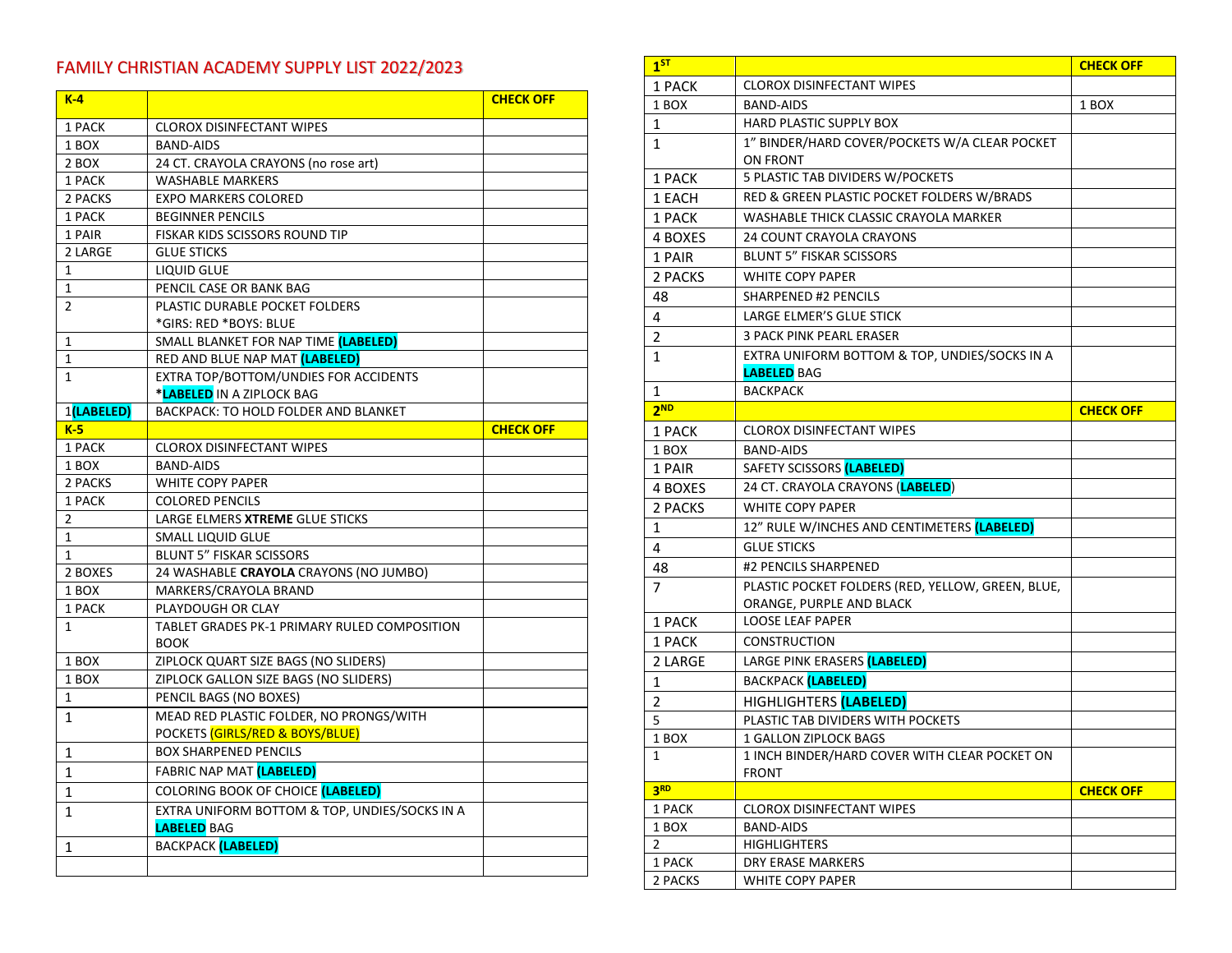## FAMILY CHRISTIAN ACADEMY SUPPLY LIST 2022/2023

| $K-4$          |                                                                     | <b>CHECK OFF</b> |
|----------------|---------------------------------------------------------------------|------------------|
| 1 PACK         | <b>CLOROX DISINFECTANT WIPES</b>                                    |                  |
| 1 BOX          | <b>BAND-AIDS</b>                                                    |                  |
| 2 BOX          | 24 CT. CRAYOLA CRAYONS (no rose art)                                |                  |
| 1 PACK         | <b>WASHABLE MARKERS</b>                                             |                  |
| 2 PACKS        | <b>EXPO MARKERS COLORED</b>                                         |                  |
| 1 PACK         | <b>BEGINNER PENCILS</b>                                             |                  |
| 1 PAIR         | FISKAR KIDS SCISSORS ROUND TIP                                      |                  |
| 2 LARGE        | <b>GLUE STICKS</b>                                                  |                  |
| 1              | <b>LIQUID GLUE</b>                                                  |                  |
| 1              | PENCIL CASE OR BANK BAG                                             |                  |
| $\overline{2}$ | PLASTIC DURABLE POCKET FOLDERS                                      |                  |
|                | *GIRS: RED *BOYS: BLUE                                              |                  |
| 1              | SMALL BLANKET FOR NAP TIME (LABELED)                                |                  |
| 1              | RED AND BLUE NAP MAT (LABELED)                                      |                  |
| $\mathbf 1$    | EXTRA TOP/BOTTOM/UNDIES FOR ACCIDENTS                               |                  |
|                | *LABELED IN A ZIPLOCK BAG                                           |                  |
| 1(LABELED)     | BACKPACK: TO HOLD FOLDER AND BLANKET                                |                  |
| $K-5$          |                                                                     | <b>CHECK OFF</b> |
| 1 PACK         | <b>CLOROX DISINFECTANT WIPES</b>                                    |                  |
| 1 BOX          | <b>BAND-AIDS</b>                                                    |                  |
| 2 PACKS        | <b>WHITE COPY PAPER</b>                                             |                  |
| 1 PACK         | <b>COLORED PENCILS</b>                                              |                  |
| 2              | LARGE ELMERS XTREME GLUE STICKS                                     |                  |
| 1              | SMALL LIQUID GLUE                                                   |                  |
| 1              | <b>BLUNT 5" FISKAR SCISSORS</b>                                     |                  |
| 2 BOXES        | 24 WASHABLE CRAYOLA CRAYONS (NO JUMBO)                              |                  |
| 1 BOX          | MARKERS/CRAYOLA BRAND                                               |                  |
| 1 PACK         | PLAYDOUGH OR CLAY                                                   |                  |
| 1              | TABLET GRADES PK-1 PRIMARY RULED COMPOSITION<br><b>BOOK</b>         |                  |
| 1 BOX          | ZIPLOCK QUART SIZE BAGS (NO SLIDERS)                                |                  |
| 1 BOX          | ZIPLOCK GALLON SIZE BAGS (NO SLIDERS)                               |                  |
| 1              | PENCIL BAGS (NO BOXES)                                              |                  |
| $\mathbf{1}$   | MEAD RED PLASTIC FOLDER, NO PRONGS/WITH                             |                  |
|                | POCKETS (GIRLS/RED & BOYS/BLUE)                                     |                  |
| 1              | <b>BOX SHARPENED PENCILS</b>                                        |                  |
| 1              | FABRIC NAP MAT (LABELED)                                            |                  |
| 1              | <b>COLORING BOOK OF CHOICE (LABELED)</b>                            |                  |
| $\mathbf{1}$   | EXTRA UNIFORM BOTTOM & TOP, UNDIES/SOCKS IN A<br><b>LABELED BAG</b> |                  |
| 1              | <b>BACKPACK</b> (LABELED)                                           |                  |
|                |                                                                     |                  |

| $1^{ST}$       |                                                   | <b>CHECK OFF</b> |
|----------------|---------------------------------------------------|------------------|
| 1 PACK         | <b>CLOROX DISINFECTANT WIPES</b>                  |                  |
| 1 BOX          | <b>BAND-AIDS</b>                                  | 1 BOX            |
| 1              | <b>HARD PLASTIC SUPPLY BOX</b>                    |                  |
| 1              | 1" BINDER/HARD COVER/POCKETS W/A CLEAR POCKET     |                  |
|                | <b>ON FRONT</b>                                   |                  |
| 1 PACK         | 5 PLASTIC TAB DIVIDERS W/POCKETS                  |                  |
| 1 EACH         | RED & GREEN PLASTIC POCKET FOLDERS W/BRADS        |                  |
| 1 PACK         | WASHABLE THICK CLASSIC CRAYOLA MARKER             |                  |
| 4 BOXES        | <b>24 COUNT CRAYOLA CRAYONS</b>                   |                  |
| 1 PAIR         | <b>BLUNT 5" FISKAR SCISSORS</b>                   |                  |
| 2 PACKS        | <b>WHITE COPY PAPER</b>                           |                  |
| 48             | <b>SHARPENED #2 PENCILS</b>                       |                  |
| 4              | LARGE ELMER'S GLUE STICK                          |                  |
| 2              | <b>3 PACK PINK PEARL ERASER</b>                   |                  |
| 1              | EXTRA UNIFORM BOTTOM & TOP, UNDIES/SOCKS IN A     |                  |
|                | <b>LABELED BAG</b>                                |                  |
| 1              | <b>BACKPACK</b>                                   |                  |
| $2^{ND}$       |                                                   | <b>CHECK OFF</b> |
| 1 PACK         | <b>CLOROX DISINFECTANT WIPES</b>                  |                  |
| 1 BOX          | <b>BAND-AIDS</b>                                  |                  |
| 1 PAIR         | SAFETY SCISSORS (LABELED)                         |                  |
| 4 BOXES        | 24 CT. CRAYOLA CRAYONS (LABELED)                  |                  |
| 2 PACKS        | <b>WHITE COPY PAPER</b>                           |                  |
| 1              | 12" RULE W/INCHES AND CENTIMETERS (LABELED)       |                  |
| 4              | <b>GLUE STICKS</b>                                |                  |
| 48             | #2 PENCILS SHARPENED                              |                  |
| 7              | PLASTIC POCKET FOLDERS (RED, YELLOW, GREEN, BLUE, |                  |
|                | ORANGE, PURPLE AND BLACK                          |                  |
| 1 PACK         | <b>LOOSE LEAF PAPER</b>                           |                  |
| 1 PACK         | <b>CONSTRUCTION</b>                               |                  |
| 2 LARGE        | LARGE PINK ERASERS (LABELED)                      |                  |
| 1              | <b>BACKPACK (LABELED)</b>                         |                  |
| $\overline{2}$ | HIGHLIGHTERS (LABELED)                            |                  |
| 5              | PLASTIC TAB DIVIDERS WITH POCKETS                 |                  |
| 1 BOX          | 1 GALLON ZIPLOCK BAGS                             |                  |
| 1              | 1 INCH BINDER/HARD COVER WITH CLEAR POCKET ON     |                  |
| 3RD            | <b>FRONT</b>                                      |                  |
| 1 PACK         | <b>CLOROX DISINFECTANT WIPES</b>                  | <b>CHECK OFF</b> |
| 1 BOX          | <b>BAND-AIDS</b>                                  |                  |
| 2              | <b>HIGHLIGHTERS</b>                               |                  |
| 1 PACK         | DRY ERASE MARKERS                                 |                  |
| 2 PACKS        | WHITE COPY PAPER                                  |                  |